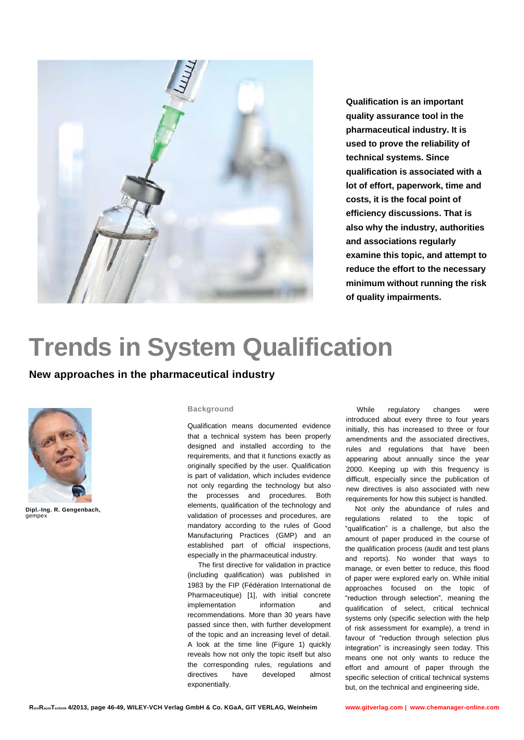

**Qualification is an important quality assurance tool in the pharmaceutical industry. It is used to prove the reliability of technical systems. Since qualification is associated with a lot of effort, paperwork, time and costs, it is the focal point of efficiency discussions. That is also why the industry, authorities and associations regularly examine this topic, and attempt to reduce the effort to the necessary minimum without running the risk of quality impairments.**

# **Trends in System Qualification**

## **New approaches in the pharmaceutical industry**



**Dipl.-Ing. R. Gengenbach,** gempex

#### **Background**

Qualification means documented evidence that a technical system has been properly designed and installed according to the requirements, and that it functions exactly as originally specified by the user. Qualification is part of validation, which includes evidence not only regarding the technology but also the processes and procedures. Both elements, qualification of the technology and validation of processes and procedures, are mandatory according to the rules of Good Manufacturing Practices (GMP) and an established part of official inspections, especially in the pharmaceutical industry.

The first directive for validation in practice (including qualification) was published in 1983 by the FIP (Fédération International de Pharmaceutique) [1], with initial concrete implementation information and recommendations. More than 30 years have passed since then, with further development of the topic and an increasing level of detail. A look at the time line (Figure 1) quickly reveals how not only the topic itself but also the corresponding rules, regulations and directives have developed almost exponentially.

While regulatory changes were introduced about every three to four years initially, this has increased to three or four amendments and the associated directives, rules and regulations that have been appearing about annually since the year 2000. Keeping up with this frequency is difficult, especially since the publication of new directives is also associated with new requirements for how this subject is handled.

Not only the abundance of rules and regulations related to the topic of "qualification" is a challenge, but also the amount of paper produced in the course of the qualification process (audit and test plans and reports). No wonder that ways to manage, or even better to reduce, this flood of paper were explored early on. While initial approaches focused on the topic of "reduction through selection", meaning the qualification of select, critical technical systems only (specific selection with the help of risk assessment for example), a trend in favour of "reduction through selection plus integration" is increasingly seen today. This means one not only wants to reduce the effort and amount of paper through the specific selection of critical technical systems but, on the technical and engineering side,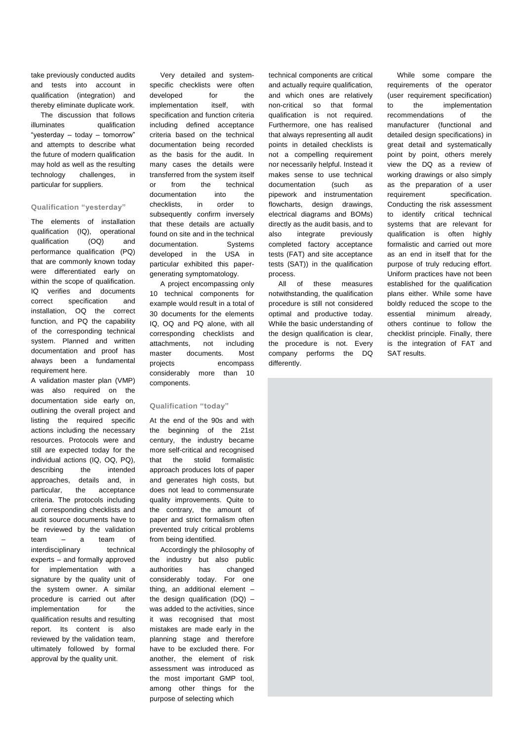take previously conducted audits and tests into account in qualification (integration) and thereby eliminate duplicate work.

The discussion that follows illuminates qualification "yesterday – today – tomorrow" and attempts to describe what the future of modern qualification may hold as well as the resulting technology challenges, in particular for suppliers.

## **Qualification "yesterday"**

The elements of installation qualification (IQ), operational qualification (OQ) and performance qualification (PQ) that are commonly known today were differentiated early on within the scope of qualification. IQ verifies and documents correct specification and installation, OQ the correct function, and PQ the capability of the corresponding technical system. Planned and written documentation and proof has always been a fundamental requirement here.

A validation master plan (VMP) was also required on the documentation side early on, outlining the overall project and listing the required specific actions including the necessary resources. Protocols were and still are expected today for the individual actions (IQ, OQ, PQ), describing the intended approaches, details and, in particular, the acceptance criteria. The protocols including all corresponding checklists and audit source documents have to be reviewed by the validation team – a team of interdisciplinary technical experts – and formally approved for implementation with a signature by the quality unit of the system owner. A similar procedure is carried out after implementation for the qualification results and resulting report. Its content is also reviewed by the validation team, ultimately followed by formal approval by the quality unit.

Very detailed and systemspecific checklists were often developed for the implementation itself, with specification and function criteria including defined acceptance criteria based on the technical documentation being recorded as the basis for the audit. In many cases the details were transferred from the system itself or from the technical documentation into the checklists, in order to subsequently confirm inversely that these details are actually found on site and in the technical documentation. Systems developed in the USA in particular exhibited this papergenerating symptomatology.

A project encompassing only 10 technical components for example would result in a total of 30 documents for the elements IQ, OQ and PQ alone, with all corresponding checklists and attachments, not including master documents. Most projects encompass considerably more than 10 components.

## **Qualification "today"**

At the end of the 90s and with the beginning of the 21st century, the industry became more self-critical and recognised that the stolid formalistic approach produces lots of paper and generates high costs, but does not lead to commensurate quality improvements. Quite to the contrary, the amount of paper and strict formalism often prevented truly critical problems from being identified.

Accordingly the philosophy of the industry but also public authorities has changed considerably today. For one thing, an additional element – the design qualification  $(DQ)$  – was added to the activities, since it was recognised that most mistakes are made early in the planning stage and therefore have to be excluded there. For another, the element of risk assessment was introduced as the most important GMP tool, among other things for the purpose of selecting which

technical components are critical and actually require qualification, and which ones are relatively non-critical so that formal qualification is not required. Furthermore, one has realised that always representing all audit points in detailed checklists is not a compelling requirement nor necessarily helpful. Instead it makes sense to use technical documentation (such as pipework and instrumentation flowcharts, design drawings, electrical diagrams and BOMs) directly as the audit basis, and to also integrate previously completed factory acceptance tests (FAT) and site acceptance tests (SAT)) in the qualification process.

All of these measures notwithstanding, the qualification procedure is still not considered optimal and productive today. While the basic understanding of the design qualification is clear. the procedure is not. Every company performs the DQ differently.

While some compare the requirements of the operator (user requirement specification) to the implementation recommendations of the manufacturer (functional and detailed design specifications) in great detail and systematically point by point, others merely view the DQ as a review of working drawings or also simply as the preparation of a user requirement specification. Conducting the risk assessment to identify critical technical systems that are relevant for qualification is often highly formalistic and carried out more as an end in itself that for the purpose of truly reducing effort. Uniform practices have not been established for the qualification plans either. While some have boldly reduced the scope to the essential minimum already, others continue to follow the checklist principle. Finally, there is the integration of FAT and SAT results.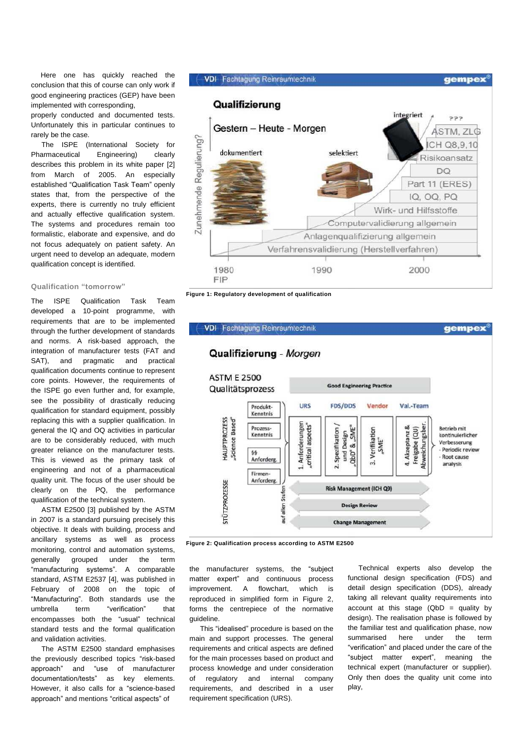Here one has quickly reached the conclusion that this of course can only work if good engineering practices (GEP) have been implemented with corresponding,

properly conducted and documented tests. Unfortunately this in particular continues to rarely be the case.

The ISPE (International Society for Pharmaceutical Engineering) clearly describes this problem in its white paper [2] from March of 2005. An especially established "Qualification Task Team" openly states that, from the perspective of the experts, there is currently no truly efficient and actually effective qualification system. The systems and procedures remain too formalistic, elaborate and expensive, and do not focus adequately on patient safety. An urgent need to develop an adequate, modern qualification concept is identified.

## **Qualification "tomorrow"**

The ISPE Qualification Task Team developed a 10-point programme, with requirements that are to be implemented through the further development of standards and norms. A risk-based approach, the integration of manufacturer tests (FAT and SAT), and pragmatic and practical qualification documents continue to represent core points. However, the requirements of the ISPE go even further and, for example, see the possibility of drastically reducing qualification for standard equipment, possibly replacing this with a supplier qualification. In general the IQ and OQ activities in particular are to be considerably reduced, with much greater reliance on the manufacturer tests. This is viewed as the primary task of engineering and not of a pharmaceutical quality unit. The focus of the user should be clearly on the PQ, the performance qualification of the technical system.

ASTM E2500 [3] published by the ASTM in 2007 is a standard pursuing precisely this objective. It deals with building, process and ancillary systems as well as process monitoring, control and automation systems, generally grouped under the term "manufacturing systems". A comparable standard, ASTM E2537 [4], was published in February of 2008 on the topic of "Manufacturing". Both standards use the umbrella term "verification" that encompasses both the "usual" technical standard tests and the formal qualification and validation activities.

The ASTM E2500 standard emphasises the previously described topics "risk-based approach" and "use of manufacturer documentation/tests" as key elements. However, it also calls for a "science-based approach" and mentions "critical aspects" of



**Figure 1: Regulatory development of qualification**



**Figure 2: Qualification process according to ASTM E2500**

the manufacturer systems, the "subject matter expert" and continuous process improvement. A flowchart, which is reproduced in simplified form in Figure 2, forms the centrepiece of the normative guideline.

This "idealised" procedure is based on the main and support processes. The general requirements and critical aspects are defined for the main processes based on product and process knowledge and under consideration of regulatory and internal company requirements, and described in a user requirement specification (URS).

Technical experts also develop the functional design specification (FDS) and detail design specification (DDS), already taking all relevant quality requirements into account at this stage  $(QbD =$  quality by design). The realisation phase is followed by the familiar test and qualification phase, now summarised here under the term "verification" and placed under the care of the "subject matter expert", meaning the technical expert (manufacturer or supplier). Only then does the quality unit come into play,